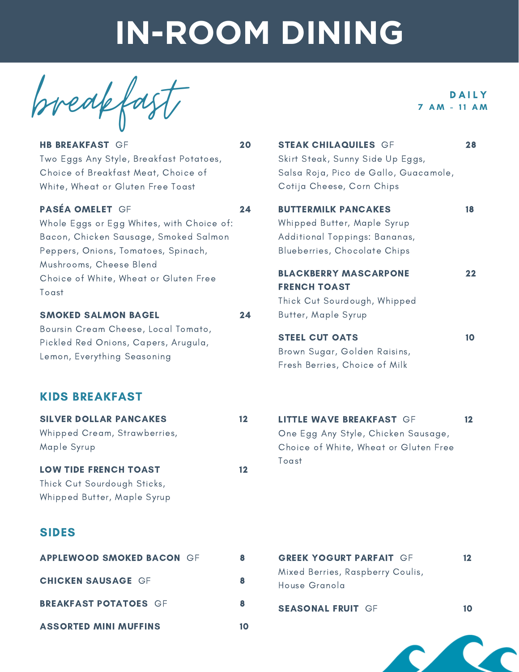breakfa

HB BREAKFAST GF Two Eggs Any Style, Breakfast Potatoes, Choice of Breakfast Meat, Choice of White, Wheat or Gluten Free Toast

### PASÉA OMELET GF

Whole Eggs or Egg Whites, with Choice of: Bacon, Chicken Sausage, Smoked Salmon Peppers, Onions, Tomatoes, Spinach, Mushrooms, Cheese Blend Choice of White, Wheat or Gluten Free Toast

### SMOKED SALMON BAGEL

Boursin Cream Cheese, Local Tomato, Pickled Red Onions, Capers, Arugula, Lemon, Everything Seasoning

## KIDS BREAKFAST

| <b>SILVER DOLLAR PANCAKES</b><br>Whipped Cream, Strawberries,<br>Maple Syrup               | 12 |
|--------------------------------------------------------------------------------------------|----|
| <b>LOW TIDE FRENCH TOAST</b><br>Thick Cut Sourdough Sticks,<br>Whipped Butter, Maple Syrup | 12 |
| <b>SIDES</b>                                                                               |    |
| <b>APPLEWOOD SMOKED BACON GF</b>                                                           | 8  |
| <b>CHICKEN SAUSAGE GF</b>                                                                  | 8  |
| <b>BREAKFAST POTATOES GF</b>                                                               | 8  |
| <b>ASSORTED MINI MUFFINS</b>                                                               | 10 |

**DAILY**  $7 AM - 11 AM$ 

| 20 | <b>STEAK CHILAQUILES GF</b><br>Skirt Steak, Sunny Side Up Eggs,<br>Salsa Roja, Pico de Gallo, Guacamole,<br>Cotija Cheese, Corn Chips | 28 |
|----|---------------------------------------------------------------------------------------------------------------------------------------|----|
| 24 | <b>BUTTERMILK PANCAKES</b><br>Whipped Butter, Maple Syrup<br>Additional Toppings: Bananas,<br>Blueberries, Chocolate Chips            | 18 |
| 24 | <b>BLACKBERRY MASCARPONE</b><br><b>FRENCH TOAST</b><br>Thick Cut Sourdough, Whipped<br>Butter, Maple Syrup                            | 22 |
|    | <b>STEEL CUT OATS</b><br>Brown Sugar, Golden Raisins,<br>Fresh Berries, Choice of Milk                                                | 10 |
|    |                                                                                                                                       |    |

| 12             | <b>LITTLE WAVE BREAKFAST GF</b>       | 12. |
|----------------|---------------------------------------|-----|
|                | One Egg Any Style, Chicken Sausage,   |     |
|                | Choice of White, Wheat or Gluten Free |     |
| $\blacksquare$ | Toast                                 |     |

| 8 | <b>GREEK YOGURT PARFAIT GF</b>                    | 12 |
|---|---------------------------------------------------|----|
| 8 | Mixed Berries, Raspberry Coulis,<br>House Granola |    |
| 8 | <b>SEASONAL FRUIT GF</b>                          |    |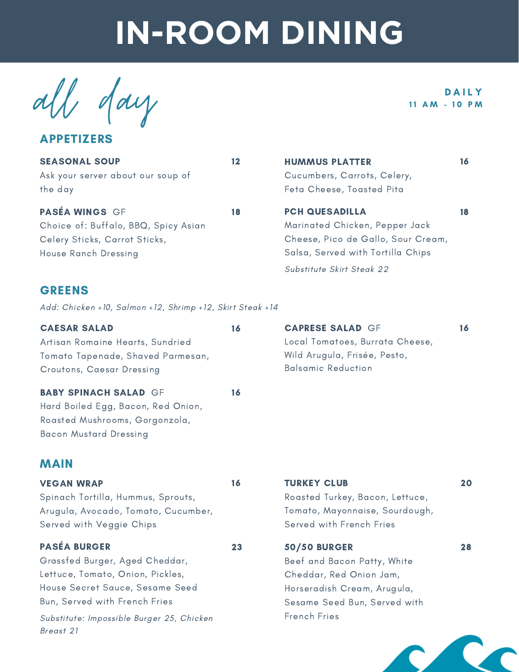all day pails

APPETIZERS

| <b>SEASONAL SOUP</b><br>Ask your server about our soup of<br>the day                                                   | 12 | <b>HUMMUS PLATTER</b><br>Cucumbers, Carrots, Celery,<br>Feta Cheese, Toasted Pita                                                  | 16 |
|------------------------------------------------------------------------------------------------------------------------|----|------------------------------------------------------------------------------------------------------------------------------------|----|
| <b>PASÉA WINGS GF</b><br>Choice of: Buffalo, BBQ, Spicy Asian<br>Celery Sticks, Carrot Sticks,<br>House Ranch Dressing | 18 | <b>PCH QUESADILLA</b><br>Marinated Chicken, Pepper Jack<br>Cheese, Pico de Gallo, Sour Cream,<br>Salsa, Served with Tortilla Chips | 18 |
| <b>GREENS</b>                                                                                                          |    | Substitute Skirt Steak 22                                                                                                          |    |

Add: Chicken +10, Salmon +12, Shrimp +12, Skirt Steak +14

| <b>CAESAR SALAD</b>               | 16 | <b>CAPRESE SALAD GF</b>         |  |
|-----------------------------------|----|---------------------------------|--|
| Artisan Romaine Hearts, Sundried  |    | Local Tomatoes, Burrata Cheese, |  |
| Tomato Tapenade, Shaved Parmesan, |    | Wild Arugula, Frisée, Pesto,    |  |
| Croutons, Caesar Dressing         |    | <b>Balsamic Reduction</b>       |  |
| <b>BABY SPINACH SALAD GF</b>      | 16 |                                 |  |
| $\blacksquare$                    |    |                                 |  |

Hard Boiled Egg, Bacon, Red Onion, Roasted Mushrooms, Gorgonzola, Bacon Mustard Dressing

## MAIN

| <b>VEGAN WRAP</b>                   | 16 | <b>TURKEY CLUB</b>              | 20 |
|-------------------------------------|----|---------------------------------|----|
| Spinach Tortilla, Hummus, Sprouts,  |    | Roasted Turkey, Bacon, Lettuce, |    |
| Arugula, Avocado, Tomato, Cucumber, |    | Tomato, Mayonnaise, Sourdough,  |    |
| Served with Veggie Chips            |    | Served with French Fries        |    |
| <b>PASÉA BURGER</b>                 | 23 | <b>50/50 BURGER</b>             | 28 |
| Grassfed Burger, Aged Cheddar,      |    | Beef and Bacon Patty, White     |    |
| Lettuce, Tomato, Onion, Pickles,    |    | Cheddar, Red Onion Jam,         |    |
| House Secret Sauce, Sesame Seed     |    | Horseradish Cream, Arugula,     |    |
| Bun, Served with French Fries       |    | Sesame Seed Bun, Served with    |    |

Substitute: Impossible Burger 25, Chicken French Fries Breast 21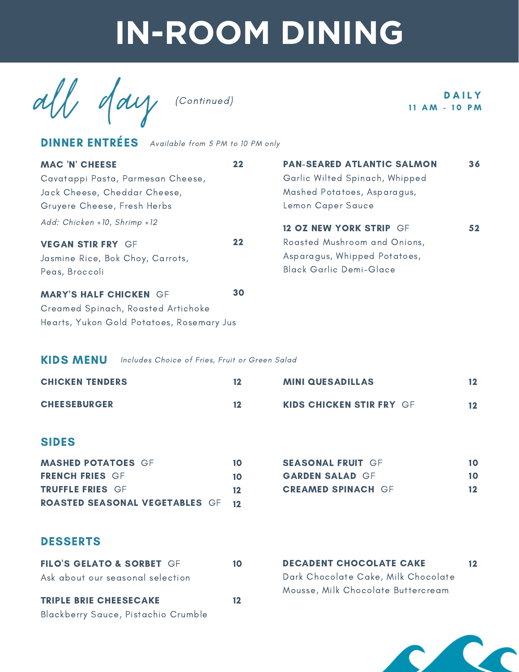all day (Continued) 11 AM - 10 PM

DINNER ENTRÉES Available from 5 PM to 10 PM only

| <b>MAC 'N' CHEESE</b>                     | 22      | <b>PAN-SEARED ATLANTIC SALMON</b> | 36              |
|-------------------------------------------|---------|-----------------------------------|-----------------|
| Cavatappi Pasta, Parmesan Cheese,         |         | Garlic Wilted Spinach, Whipped    |                 |
| Jack Cheese, Cheddar Cheese,              |         | Mashed Potatoes, Asparagus,       |                 |
| Gruyere Cheese, Fresh Herbs               |         | Lemon Caper Sauce                 |                 |
| Add: Chicken +10, Shrimp +12              |         | <b>12 OZ NEW YORK STRIP GF</b>    | 52 <sub>2</sub> |
| <b>VEGAN STIR FRY GF</b>                  | $22 \,$ | Roasted Mushroom and Onions,      |                 |
| Jasmine Rice, Bok Choy, Carrots,          |         | Asparagus, Whipped Potatoes,      |                 |
| Peas, Broccoli                            |         | <b>Black Garlic Demi-Glace</b>    |                 |
| <b>MARY'S HALF CHICKEN GF</b>             | 30      |                                   |                 |
| Creamed Spinach, Roasted Artichoke        |         |                                   |                 |
| Hearts, Yukon Gold Potatoes, Rosemary Jus |         |                                   |                 |

### KIDS MENU Includes Choice of Fries, Fruit or Green Salad

| <b>CHICKEN TENDERS</b> | 12 | <b>MINI QUESADILLAS</b>         |  |
|------------------------|----|---------------------------------|--|
| <b>CHEESEBURGER</b>    | 12 | <b>KIDS CHICKEN STIR FRY GF</b> |  |

### SIDES

| <b>MASHED POTATOES GF</b>                | 10. | <b>SEASONAL FRUIT GF</b>  |                  |
|------------------------------------------|-----|---------------------------|------------------|
| <b>FRENCH FRIES GF</b>                   | 10. | <b>GARDEN SALAD GF</b>    | 10.              |
| <b>TRUFFLE FRIES GF</b>                  | 12. | <b>CREAMED SPINACH GF</b> | 12 <sup>12</sup> |
| <b>ROASTED SEASONAL VEGETABLES GF 12</b> |     |                           |                  |

| <b>SEASONAL FRUIT GF</b>  | 10 |
|---------------------------|----|
| <b>GARDEN SALAD GF</b>    | 10 |
| <b>CREAMED SPINACH GF</b> | 12 |

DECADENT CHOCOLATE CAKE 12

Dark Chocolate Cake, Milk Chocolate Mousse, Milk Chocolate Buttercream

## DESSERTS

| <b>FILO'S GELATO &amp; SORBET GF</b> | 10 |
|--------------------------------------|----|
| Ask about our seasonal selection     |    |
| <b>TRIPLE BRIE CHEESECAKE</b>        | 12 |
| Blackberry Sauce, Pistachio Crumble  |    |